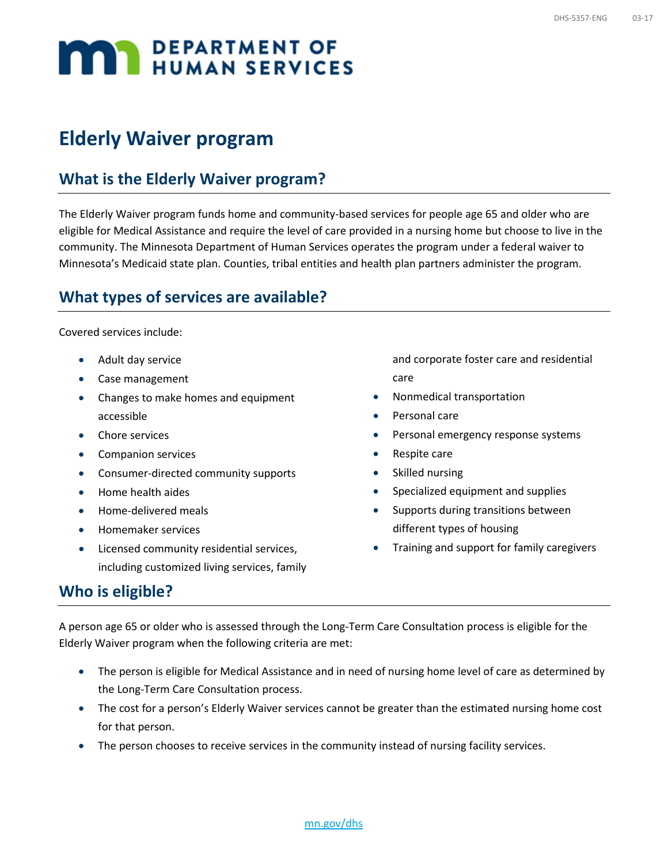# **MAN DEPARTMENT OF**

# **Elderly Waiver program**

## **What is the Elderly Waiver program?**

The Elderly Waiver program funds home and community-based services for people age 65 and older who are eligible for Medical Assistance and require the level of care provided in a nursing home but choose to live in the community. The Minnesota Department of Human Services operates the program under a federal waiver to Minnesota's Medicaid state plan. Counties, tribal entities and health plan partners administer the program.

#### **What types of services are available?**

Covered services include:

- Adult day service
- Case management
- Changes to make homes and equipment accessible
- Chore services
- Companion services
- Consumer-directed community supports
- Home health aides
- Home-delivered meals
- Homemaker services
- Licensed community residential services, including customized living services, family

and corporate foster care and residential care

- Nonmedical transportation
- Personal care
- Personal emergency response systems
- Respite care
- Skilled nursing
- Specialized equipment and supplies
- Supports during transitions between different types of housing
- Training and support for family caregivers

#### **Who is eligible?**

A person age 65 or older who is assessed through the Long-Term Care Consultation process is eligible for the Elderly Waiver program when the following criteria are met:

- The person is eligible for Medical Assistance and in need of nursing home level of care as determined by the Long-Term Care Consultation process.
- The cost for a person's Elderly Waiver services cannot be greater than the estimated nursing home cost for that person.
- The person chooses to receive services in the community instead of nursing facility services.

[mn.gov/dhs](http://mn.gov/dhs/)